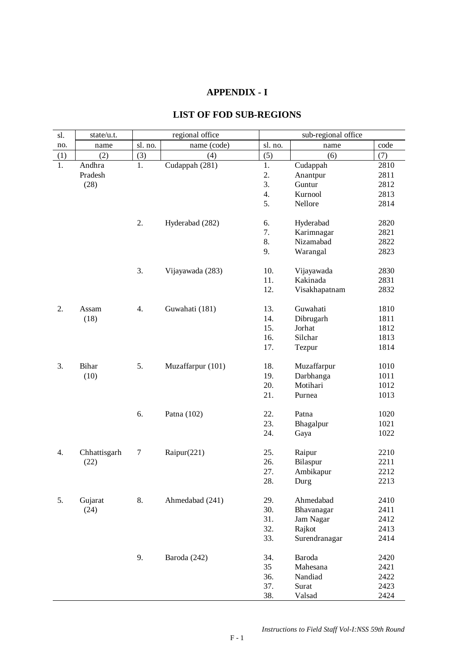## **APPENDIX - I**

## **LIST OF FOD SUB-REGIONS**

| sl. | state/u.t.   | regional office |                   |         | sub-regional office |      |  |
|-----|--------------|-----------------|-------------------|---------|---------------------|------|--|
| no. | name         | sl. no.         | name (code)       | sl. no. | name                | code |  |
| (1) | (2)          | (3)             | (4)               | (5)     | (6)                 | (7)  |  |
| 1.  | Andhra       | 1.              | Cudappah (281)    | 1.      | Cudappah            | 2810 |  |
|     | Pradesh      |                 |                   | 2.      | Anantpur            | 2811 |  |
|     | (28)         |                 |                   | 3.      | Guntur              | 2812 |  |
|     |              |                 |                   | 4.      | Kurnool             | 2813 |  |
|     |              |                 |                   | 5.      | Nellore             | 2814 |  |
|     |              |                 |                   |         |                     |      |  |
|     |              | 2.              | Hyderabad (282)   | 6.      | Hyderabad           | 2820 |  |
|     |              |                 |                   | 7.      | Karimnagar          | 2821 |  |
|     |              |                 |                   | 8.      | Nizamabad           | 2822 |  |
|     |              |                 |                   | 9.      | Warangal            | 2823 |  |
|     |              | 3.              | Vijayawada (283)  | 10.     | Vijayawada          | 2830 |  |
|     |              |                 |                   | 11.     | Kakinada            | 2831 |  |
|     |              |                 |                   | 12.     | Visakhapatnam       | 2832 |  |
|     |              |                 |                   |         |                     |      |  |
| 2.  | Assam        | 4.              | Guwahati (181)    | 13.     | Guwahati            | 1810 |  |
|     | (18)         |                 |                   | 14.     | Dibrugarh           | 1811 |  |
|     |              |                 |                   | 15.     | Jorhat              | 1812 |  |
|     |              |                 |                   | 16.     | Silchar             | 1813 |  |
|     |              |                 |                   | 17.     | Tezpur              | 1814 |  |
|     |              |                 |                   |         |                     |      |  |
| 3.  | Bihar        | 5.              | Muzaffarpur (101) | 18.     | Muzaffarpur         | 1010 |  |
|     | (10)         |                 |                   | 19.     | Darbhanga           | 1011 |  |
|     |              |                 |                   | 20.     | Motihari            | 1012 |  |
|     |              |                 |                   | 21.     | Purnea              | 1013 |  |
|     |              | 6.              | Patna (102)       | 22.     | Patna               | 1020 |  |
|     |              |                 |                   | 23.     | Bhagalpur           | 1021 |  |
|     |              |                 |                   | 24.     | Gaya                | 1022 |  |
|     |              |                 |                   |         |                     |      |  |
| 4.  | Chhattisgarh | 7               | Raipur(221)       | 25.     | Raipur              | 2210 |  |
|     | (22)         |                 |                   | 26.     | Bilaspur            | 2211 |  |
|     |              |                 |                   | 27.     | Ambikapur           | 2212 |  |
|     |              |                 |                   | 28.     | Durg                | 2213 |  |
| 5.  | Gujarat      | 8.              | Ahmedabad (241)   | 29.     | Ahmedabad           | 2410 |  |
|     | (24)         |                 |                   | 30.     | Bhavanagar          | 2411 |  |
|     |              |                 |                   | 31.     | Jam Nagar           | 2412 |  |
|     |              |                 |                   | 32.     | Rajkot              | 2413 |  |
|     |              |                 |                   | 33.     | Surendranagar       | 2414 |  |
|     |              |                 |                   |         |                     |      |  |
|     |              | 9.              | Baroda (242)      | 34.     | Baroda              | 2420 |  |
|     |              |                 |                   | 35      | Mahesana            | 2421 |  |
|     |              |                 |                   | 36.     | Nandiad             | 2422 |  |
|     |              |                 |                   | 37.     | Surat               | 2423 |  |
|     |              |                 |                   | 38.     | Valsad              | 2424 |  |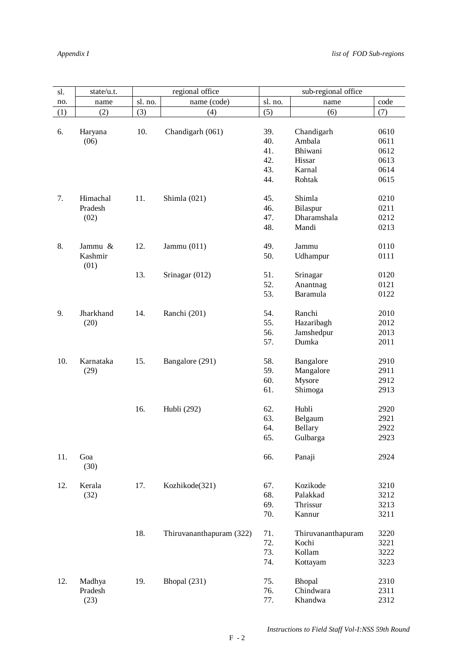| sl. | state/u.t. |         | regional office          |         | sub-regional office |      |
|-----|------------|---------|--------------------------|---------|---------------------|------|
| no. | name       | sl. no. | name (code)              | sl. no. | name                | code |
| (1) | (2)        | (3)     | (4)                      | (5)     | (6)                 | (7)  |
|     |            |         |                          |         |                     |      |
| 6.  | Haryana    | 10.     | Chandigarh (061)         | 39.     | Chandigarh          | 0610 |
|     | (06)       |         |                          | 40.     | Ambala              | 0611 |
|     |            |         |                          | 41.     | Bhiwani             | 0612 |
|     |            |         |                          | 42.     | Hissar              | 0613 |
|     |            |         |                          | 43.     | Karnal              | 0614 |
|     |            |         |                          | 44.     | Rohtak              | 0615 |
|     |            |         |                          |         |                     |      |
| 7.  | Himachal   | 11.     | Shimla (021)             | 45.     | Shimla              | 0210 |
|     | Pradesh    |         |                          | 46.     | Bilaspur            | 0211 |
|     | (02)       |         |                          | 47.     | Dharamshala         | 0212 |
|     |            |         |                          | 48.     | Mandi               | 0213 |
|     |            |         |                          |         |                     |      |
| 8.  | Jammu &    | 12.     | Jammu $(011)$            | 49.     | Jammu               | 0110 |
|     | Kashmir    |         |                          | 50.     | Udhampur            | 0111 |
|     | (01)       |         |                          |         |                     |      |
|     |            | 13.     | Srinagar (012)           | 51.     | Srinagar            | 0120 |
|     |            |         |                          | 52.     | Anantnag            | 0121 |
|     |            |         |                          | 53.     | Baramula            | 0122 |
|     |            |         |                          |         |                     |      |
| 9.  | Jharkhand  | 14.     | Ranchi (201)             | 54.     | Ranchi              | 2010 |
|     | (20)       |         |                          | 55.     | Hazaribagh          | 2012 |
|     |            |         |                          | 56.     | Jamshedpur          | 2013 |
|     |            |         |                          | 57.     | Dumka               | 2011 |
|     |            |         |                          |         |                     |      |
| 10. | Karnataka  | 15.     | Bangalore (291)          | 58.     | Bangalore           | 2910 |
|     | (29)       |         |                          | 59.     | Mangalore           | 2911 |
|     |            |         |                          | 60.     | Mysore              | 2912 |
|     |            |         |                          | 61.     | Shimoga             | 2913 |
|     |            |         |                          |         |                     |      |
|     |            | 16.     | Hubli (292)              | 62.     | Hubli               | 2920 |
|     |            |         |                          | 63.     | Belgaum             | 2921 |
|     |            |         |                          | 64.     | Bellary             | 2922 |
|     |            |         |                          | 65.     | Gulbarga            | 2923 |
|     |            |         |                          |         |                     |      |
| 11. | Goa        |         |                          | 66.     | Panaji              | 2924 |
|     | (30)       |         |                          |         |                     |      |
|     |            |         |                          |         |                     |      |
| 12. | Kerala     | 17.     | Kozhikode(321)           | 67.     | Kozikode            | 3210 |
|     | (32)       |         |                          | 68.     | Palakkad            | 3212 |
|     |            |         |                          | 69.     | Thrissur            | 3213 |
|     |            |         |                          | 70.     | Kannur              | 3211 |
|     |            |         |                          |         |                     |      |
|     |            | 18.     | Thiruvananthapuram (322) | 71.     | Thiruvananthapuram  | 3220 |
|     |            |         |                          | 72.     | Kochi               | 3221 |
|     |            |         |                          | 73.     | Kollam              | 3222 |
|     |            |         |                          | 74.     | Kottayam            | 3223 |
|     |            |         |                          |         |                     |      |
| 12. | Madhya     | 19.     | Bhopal (231)             | 75.     | Bhopal              | 2310 |
|     | Pradesh    |         |                          | 76.     | Chindwara           | 2311 |
|     | (23)       |         |                          | 77.     | Khandwa             | 2312 |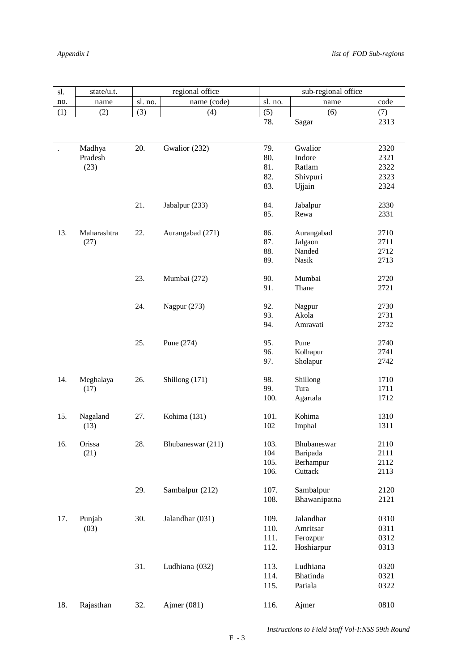| sl. | state/u.t.        | regional office |                   | sub-regional office |              |      |
|-----|-------------------|-----------------|-------------------|---------------------|--------------|------|
| no. | name              | sl. no.         | name (code)       | sl. no.             | name         | code |
| (1) | (2)               | (3)             | (4)               | (5)                 | (6)          | (7)  |
|     |                   |                 |                   | 78.                 | Sagar        | 2313 |
|     |                   |                 |                   |                     |              |      |
|     |                   | 20.             | Gwalior (232)     | 79.                 | Gwalior      | 2320 |
|     | Madhya<br>Pradesh |                 |                   | 80.                 | Indore       | 2321 |
|     |                   |                 |                   | 81.                 |              |      |
|     | (23)              |                 |                   |                     | Ratlam       | 2322 |
|     |                   |                 |                   | 82.                 | Shivpuri     | 2323 |
|     |                   |                 |                   | 83.                 | Ujjain       | 2324 |
|     |                   | 21.             | Jabalpur (233)    | 84.                 | Jabalpur     | 2330 |
|     |                   |                 |                   | 85.                 | Rewa         | 2331 |
|     |                   |                 |                   |                     |              |      |
| 13. | Maharashtra       | 22.             | Aurangabad (271)  | 86.                 | Aurangabad   | 2710 |
|     | (27)              |                 |                   | 87.                 | Jalgaon      | 2711 |
|     |                   |                 |                   | 88.                 | Nanded       | 2712 |
|     |                   |                 |                   | 89.                 | Nasik        | 2713 |
|     |                   |                 |                   |                     |              |      |
|     |                   | 23.             | Mumbai (272)      | 90.<br>91.          | Mumbai       | 2720 |
|     |                   |                 |                   |                     | Thane        | 2721 |
|     |                   | 24.             | Nagpur (273)      | 92.                 | Nagpur       | 2730 |
|     |                   |                 |                   | 93.                 | Akola        | 2731 |
|     |                   |                 |                   | 94.                 | Amravati     | 2732 |
|     |                   |                 |                   |                     |              |      |
|     |                   | 25.             | Pune (274)        | 95.                 | Pune         | 2740 |
|     |                   |                 |                   | 96.                 | Kolhapur     | 2741 |
|     |                   |                 |                   | 97.                 | Sholapur     | 2742 |
| 14. | Meghalaya         | 26.             | Shillong (171)    | 98.                 | Shillong     | 1710 |
|     | (17)              |                 |                   | 99.                 | Tura         | 1711 |
|     |                   |                 |                   | 100.                | Agartala     | 1712 |
|     |                   |                 |                   |                     |              |      |
| 15. | Nagaland          | 27.             | Kohima (131)      | 101.                | Kohima       | 1310 |
|     | (13)              |                 |                   | 102                 | Imphal       | 1311 |
|     |                   |                 |                   |                     |              |      |
| 16. | Orissa            | 28.             | Bhubaneswar (211) | 103.                | Bhubaneswar  | 2110 |
|     | (21)              |                 |                   | 104                 | Baripada     | 2111 |
|     |                   |                 |                   | 105.                | Berhampur    | 2112 |
|     |                   |                 |                   | 106.                | Cuttack      | 2113 |
|     |                   | 29.             | Sambalpur (212)   | 107.                | Sambalpur    | 2120 |
|     |                   |                 |                   | 108.                | Bhawanipatna | 2121 |
|     |                   |                 |                   |                     |              |      |
| 17. | Punjab            | 30.             | Jalandhar (031)   | 109.                | Jalandhar    | 0310 |
|     | (03)              |                 |                   | 110.                | Amritsar     | 0311 |
|     |                   |                 |                   | 111.                | Ferozpur     | 0312 |
|     |                   |                 |                   | 112.                | Hoshiarpur   | 0313 |
|     |                   |                 |                   |                     |              |      |
|     |                   | 31.             | Ludhiana (032)    | 113.                | Ludhiana     | 0320 |
|     |                   |                 |                   | 114.                | Bhatinda     | 0321 |
|     |                   |                 |                   | 115.                | Patiala      | 0322 |
|     |                   |                 |                   |                     |              |      |
| 18. | Rajasthan         | 32.             | Ajmer (081)       | 116.                | Ajmer        | 0810 |
|     |                   |                 |                   |                     |              |      |

 *Instructions to Field Staff Vol-I:NSS 59th Round*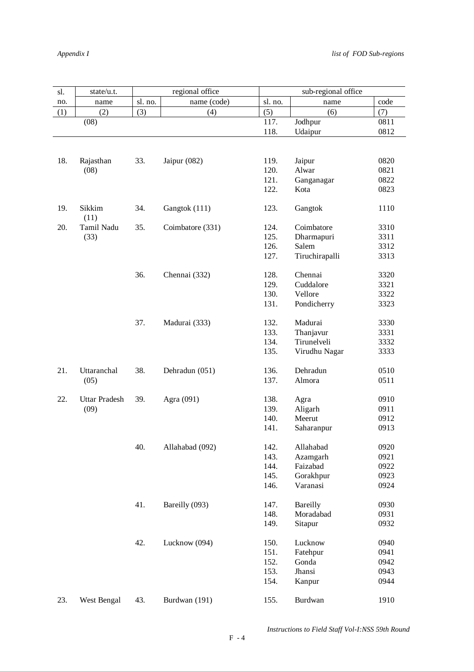| sl. | state/u.t.           |         | regional office  |         | sub-regional office |      |
|-----|----------------------|---------|------------------|---------|---------------------|------|
| no. | name                 | sl. no. | name (code)      | sl. no. | name                | code |
| (1) | (2)                  | (3)     | (4)              | (5)     | (6)                 | (7)  |
|     | (08)                 |         |                  | 117.    | Jodhpur             | 0811 |
|     |                      |         |                  | 118.    | Udaipur             | 0812 |
|     |                      |         |                  |         |                     |      |
| 18. | Rajasthan            | 33.     | Jaipur $(082)$   | 119.    | Jaipur              | 0820 |
|     | (08)                 |         |                  | 120.    | Alwar               | 0821 |
|     |                      |         |                  | 121.    | Ganganagar          | 0822 |
|     |                      |         |                  | 122.    | Kota                | 0823 |
| 19. | Sikkim<br>(11)       | 34.     | Gangtok (111)    | 123.    | Gangtok             | 1110 |
| 20. | Tamil Nadu           | 35.     | Coimbatore (331) | 124.    | Coimbatore          | 3310 |
|     | (33)                 |         |                  | 125.    | Dharmapuri          | 3311 |
|     |                      |         |                  | 126.    | Salem               | 3312 |
|     |                      |         |                  | 127.    | Tiruchirapalli      | 3313 |
|     |                      | 36.     | Chennai (332)    | 128.    | Chennai             | 3320 |
|     |                      |         |                  | 129.    | Cuddalore           | 3321 |
|     |                      |         |                  | 130.    | Vellore             | 3322 |
|     |                      |         |                  | 131.    | Pondicherry         | 3323 |
|     |                      |         |                  |         |                     |      |
|     |                      | 37.     | Madurai (333)    | 132.    | Madurai             | 3330 |
|     |                      |         |                  | 133.    | Thanjavur           | 3331 |
|     |                      |         |                  | 134.    | Tirunelveli         | 3332 |
|     |                      |         |                  | 135.    | Virudhu Nagar       | 3333 |
| 21. | Uttaranchal          | 38.     | Dehradun (051)   | 136.    | Dehradun            | 0510 |
|     | (05)                 |         |                  | 137.    | Almora              | 0511 |
| 22. | <b>Uttar Pradesh</b> | 39.     | Agra (091)       | 138.    | Agra                | 0910 |
|     | (09)                 |         |                  | 139.    | Aligarh             | 0911 |
|     |                      |         |                  | 140.    | Meerut              | 0912 |
|     |                      |         |                  | 141.    | Saharanpur          | 0913 |
|     |                      |         |                  |         |                     |      |
|     |                      | 40.     | Allahabad (092)  | 142.    | Allahabad           | 0920 |
|     |                      |         |                  | 143.    | Azamgarh            | 0921 |
|     |                      |         |                  | 144.    | Faizabad            | 0922 |
|     |                      |         |                  | 145.    | Gorakhpur           | 0923 |
|     |                      |         |                  | 146.    | Varanasi            | 0924 |
|     |                      | 41.     | Bareilly (093)   | 147.    | Bareilly            | 0930 |
|     |                      |         |                  | 148.    | Moradabad           | 0931 |
|     |                      |         |                  | 149.    | Sitapur             | 0932 |
|     |                      | 42.     | Lucknow (094)    | 150.    | Lucknow             | 0940 |
|     |                      |         |                  | 151.    | Fatehpur            | 0941 |
|     |                      |         |                  | 152.    | Gonda               | 0942 |
|     |                      |         |                  |         |                     |      |
|     |                      |         |                  | 153.    | Jhansi              | 0943 |
|     |                      |         |                  | 154.    | Kanpur              | 0944 |
| 23. | West Bengal          | 43.     | Burdwan (191)    | 155.    | Burdwan             | 1910 |